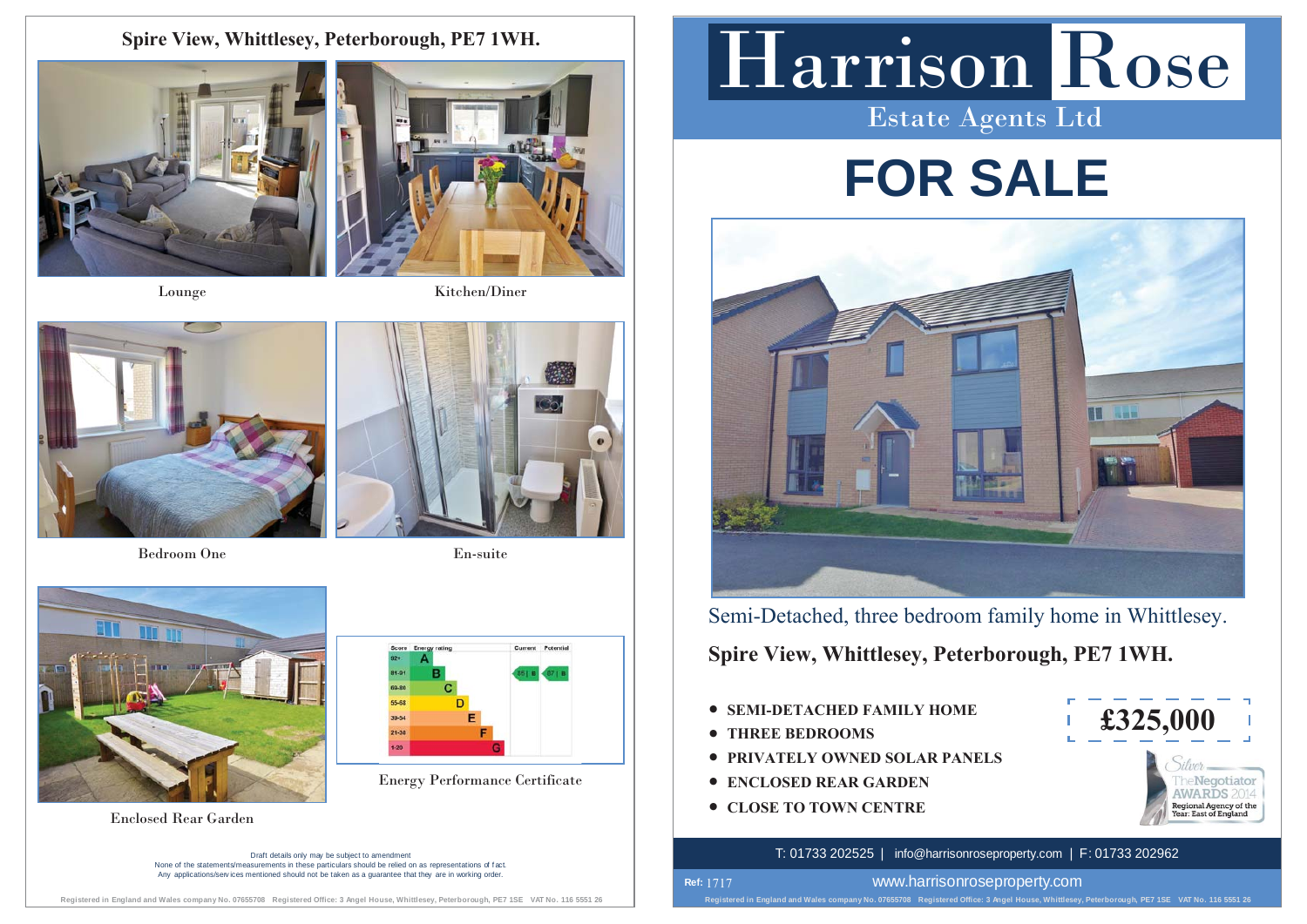### **Spire View, Whittlesey, Peterborough, PE7 1WH.**





Lounge Kitchen/Diner



Bedroom One



En-suite





Enclosed Rear Garden

Draft details only may be subject to amendment None of the statements/measurements in these particulars should be relied on as representations of f act. Any applications/services mentioned should not be taken as a quarantee that they are in working order

## Harrison Rose Estate Agents Ltd

# **FOR SALE**



Semi-Detached, three bedroom family home in Whittlesey.

**Spire View, Whittlesey, Peterborough, PE7 1WH.**

- **SEMI-DETACHED FAMILY HOME**
- **THREE BEDROOMS**

**Ref:**  1717

- **PRIVATELY OWNED SOLAR PANELS**
- **Energy Performance Certificate**  $\qquad$  **CONCLOSED REAR GARDEN** 
	- **CLOSE TO TOWN CENTRE**



#### T: 01733 202525 | info@harrisonroseproperty.com | F: 01733 202962

www.harrisonroseproperty.com

**Registered in England and Wales company No. 07655708 Registered Office: 3 Angel House, Whittlesey, Peterborough, PE7 1SE VAT No. 116 5551 26**